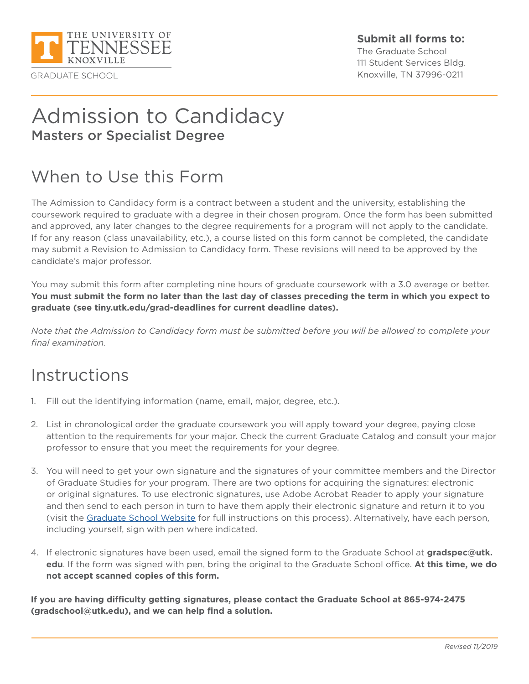

#### **Submit all forms to:**

The Graduate School 111 Student Services Bldg. Knoxville, TN 37996-0211

# Admission to Candidacy Masters or Specialist Degree

# When to Use this Form

The Admission to Candidacy form is a contract between a student and the university, establishing the coursework required to graduate with a degree in their chosen program. Once the form has been submitted and approved, any later changes to the degree requirements for a program will not apply to the candidate. If for any reason (class unavailability, etc.), a course listed on this form cannot be completed, the candidate may submit a Revision to Admission to Candidacy form. These revisions will need to be approved by the candidate's major professor.

You may submit this form after completing nine hours of graduate coursework with a 3.0 average or better. **You must submit the form no later than the last day of classes preceding the term in which you expect to graduate (see tiny.utk.edu/grad-deadlines for current deadline dates).** 

*Note that the Admission to Candidacy form must be submitted before you will be allowed to complete your final examination.*

## Instructions

- 1. Fill out the identifying information (name, email, major, degree, etc.).
- 2. List in chronological order the graduate coursework you will apply toward your degree, paying close attention to the requirements for your major. Check the current Graduate Catalog and consult your major professor to ensure that you meet the requirements for your degree.
- 3. You will need to get your own signature and the signatures of your committee members and the Director of Graduate Studies for your program. There are two options for acquiring the signatures: electronic or original signatures. To use electronic signatures, use Adobe Acrobat Reader to apply your signature and then send to each person in turn to have them apply their electronic signature and return it to you (visit the [Graduate School Website](https://gradschool.utk.edu) for full instructions on this process). Alternatively, have each person, including yourself, sign with pen where indicated.
- 4. If electronic signatures have been used, email the signed form to the Graduate School at **gradspec@utk. edu**. If the form was signed with pen, bring the original to the Graduate School office. **At this time, we do not accept scanned copies of this form.**

**If you are having difficulty getting signatures, please contact the Graduate School at 865-974-2475 (gradschool@utk.edu), and we can help find a solution.**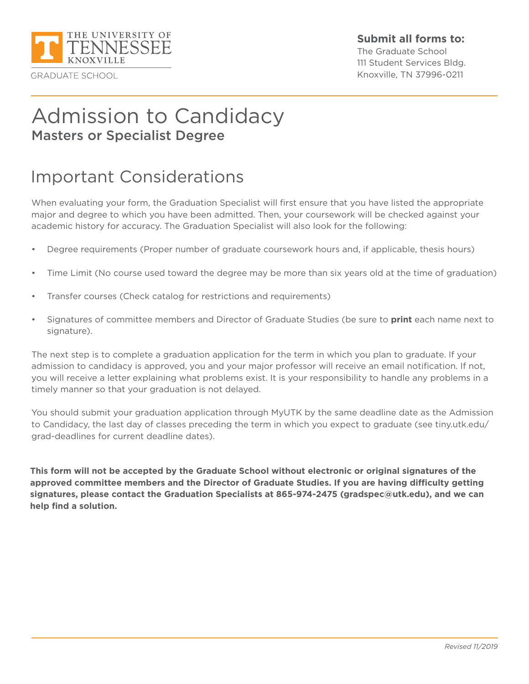

### **Submit all forms to:**

The Graduate School 111 Student Services Bldg. Knoxville, TN 37996-0211

# Admission to Candidacy Masters or Specialist Degree

## Important Considerations

When evaluating your form, the Graduation Specialist will first ensure that you have listed the appropriate major and degree to which you have been admitted. Then, your coursework will be checked against your academic history for accuracy. The Graduation Specialist will also look for the following:

- Degree requirements (Proper number of graduate coursework hours and, if applicable, thesis hours)
- Time Limit (No course used toward the degree may be more than six years old at the time of graduation)
- Transfer courses (Check catalog for restrictions and requirements)
- Signatures of committee members and Director of Graduate Studies (be sure to **print** each name next to signature).

The next step is to complete a graduation application for the term in which you plan to graduate. If your admission to candidacy is approved, you and your major professor will receive an email notification. If not, you will receive a letter explaining what problems exist. It is your responsibility to handle any problems in a timely manner so that your graduation is not delayed.

You should submit your graduation application through MyUTK by the same deadline date as the Admission to Candidacy, the last day of classes preceding the term in which you expect to graduate (see tiny.utk.edu/ grad-deadlines for current deadline dates).

**This form will not be accepted by the Graduate School without electronic or original signatures of the approved committee members and the Director of Graduate Studies. If you are having difficulty getting signatures, please contact the Graduation Specialists at 865-974-2475 (gradspec@utk.edu), and we can help find a solution.**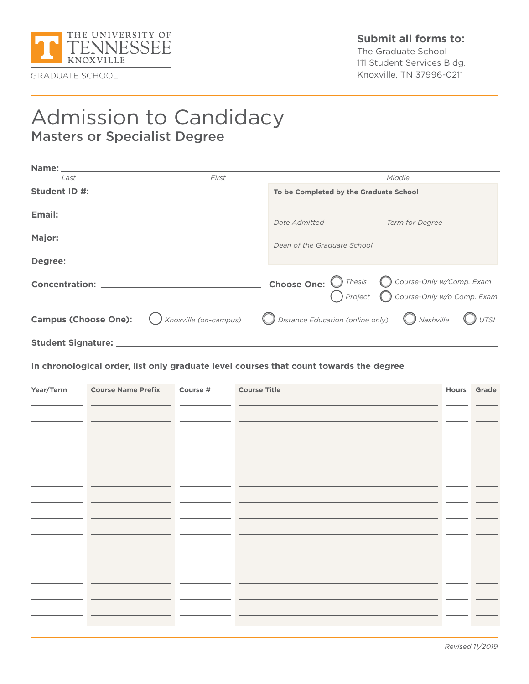

The Graduate School 111 Student Services Bldg. Knoxville, TN 37996-0211

## Admission to Candidacy Masters or Specialist Degree

| Name: and the contract of the contract of the contract of the contract of the contract of the contract of the contract of the contract of the contract of the contract of the contract of the contract of the contract of the |       |                                        |                                                                                                                   |
|-------------------------------------------------------------------------------------------------------------------------------------------------------------------------------------------------------------------------------|-------|----------------------------------------|-------------------------------------------------------------------------------------------------------------------|
| Last                                                                                                                                                                                                                          | First |                                        | Middle                                                                                                            |
|                                                                                                                                                                                                                               |       | To be Completed by the Graduate School |                                                                                                                   |
|                                                                                                                                                                                                                               |       | <i>Date Admitted</i>                   | Term for Degree                                                                                                   |
|                                                                                                                                                                                                                               |       | Dean of the Graduate School            |                                                                                                                   |
|                                                                                                                                                                                                                               |       |                                        |                                                                                                                   |
|                                                                                                                                                                                                                               |       |                                        | <b>Choose One:</b> O Thesis O Course-Only w/Comp. Exam<br>Project O Course-Only w/o Comp. Exam                    |
| <b>Campus (Choose One):</b>                                                                                                                                                                                                   |       |                                        | $\bigcirc$ Knoxville (on-campus) $\bigcirc$ Distance Education (online only) $\bigcirc$ Nashville $\bigcirc$ UTSI |
|                                                                                                                                                                                                                               |       |                                        |                                                                                                                   |

**In chronological order, list only graduate level courses that count towards the degree**

| Year/Term | <b>Course Name Prefix</b> | Course # | <b>Course Title</b> | Hours Grade |  |
|-----------|---------------------------|----------|---------------------|-------------|--|
|           |                           |          |                     |             |  |
|           |                           |          |                     |             |  |
|           |                           |          |                     |             |  |
|           |                           |          |                     |             |  |
|           |                           |          |                     |             |  |
|           |                           |          |                     |             |  |
|           |                           |          |                     |             |  |
|           |                           |          |                     |             |  |
|           |                           |          |                     |             |  |
|           |                           |          |                     |             |  |
|           |                           |          |                     |             |  |
|           |                           |          |                     |             |  |
|           |                           |          |                     |             |  |
|           |                           |          |                     |             |  |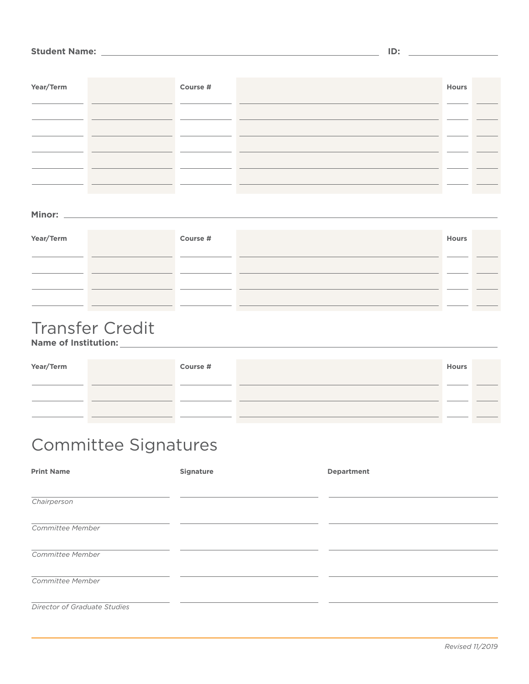#### **Student Name: ID:**

| Year/Term | Course # | Hours |  |
|-----------|----------|-------|--|
|           |          |       |  |
|           |          |       |  |
|           |          |       |  |
|           |          |       |  |
|           |          |       |  |
|           |          |       |  |

#### **Minor:**

| Year/Term | Course # | <b>Hours</b> |  |
|-----------|----------|--------------|--|
|           |          |              |  |
|           |          |              |  |
|           |          |              |  |
|           |          |              |  |

# Transfer Credit

**Name of Institution:**

| Year/Term | Course # | <b>Hours</b> |  |
|-----------|----------|--------------|--|
|           |          |              |  |
|           |          |              |  |
|           |          |              |  |

# Committee Signatures

| <b>Print Name</b>            | <b>Signature</b> | <b>Department</b> |
|------------------------------|------------------|-------------------|
|                              |                  |                   |
| Chairperson                  |                  |                   |
|                              |                  |                   |
| Committee Member             |                  |                   |
| Committee Member             |                  |                   |
|                              |                  |                   |
| Committee Member             |                  |                   |
|                              |                  |                   |
| Director of Graduate Studies |                  |                   |